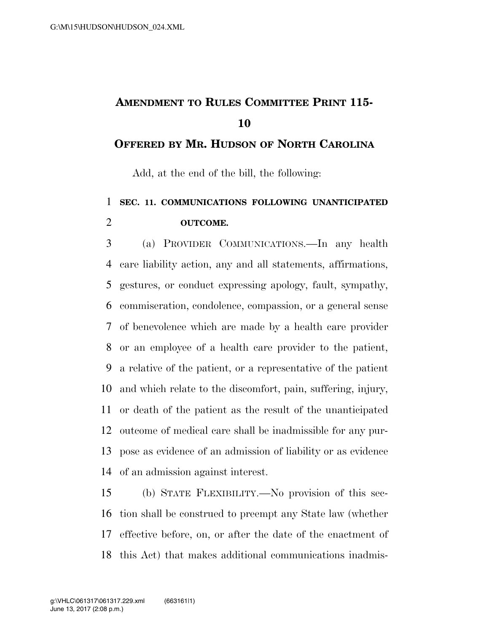# **AMENDMENT TO RULES COMMITTEE PRINT 115-**

### **OFFERED BY MR. HUDSON OF NORTH CAROLINA**

Add, at the end of the bill, the following:

### **SEC. 11. COMMUNICATIONS FOLLOWING UNANTICIPATED OUTCOME.**

 (a) PROVIDER COMMUNICATIONS.—In any health care liability action, any and all statements, affirmations, gestures, or conduct expressing apology, fault, sympathy, commiseration, condolence, compassion, or a general sense of benevolence which are made by a health care provider or an employee of a health care provider to the patient, a relative of the patient, or a representative of the patient and which relate to the discomfort, pain, suffering, injury, or death of the patient as the result of the unanticipated outcome of medical care shall be inadmissible for any pur- pose as evidence of an admission of liability or as evidence of an admission against interest.

 (b) STATE FLEXIBILITY.—No provision of this sec- tion shall be construed to preempt any State law (whether effective before, on, or after the date of the enactment of this Act) that makes additional communications inadmis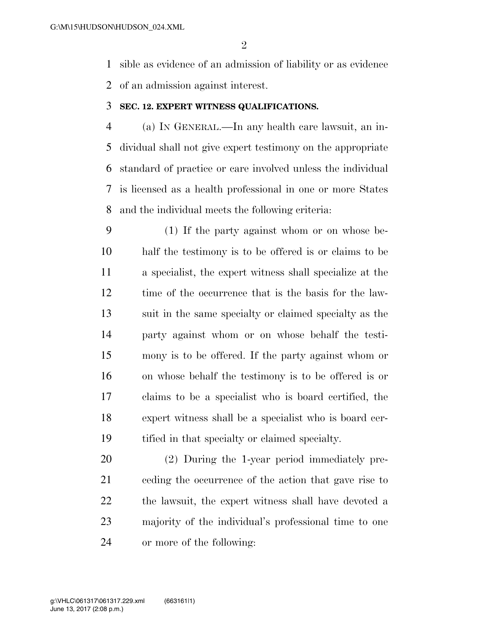sible as evidence of an admission of liability or as evidence of an admission against interest.

#### **SEC. 12. EXPERT WITNESS QUALIFICATIONS.**

 (a) IN GENERAL.—In any health care lawsuit, an in- dividual shall not give expert testimony on the appropriate standard of practice or care involved unless the individual is licensed as a health professional in one or more States and the individual meets the following criteria:

 (1) If the party against whom or on whose be- half the testimony is to be offered is or claims to be a specialist, the expert witness shall specialize at the time of the occurrence that is the basis for the law- suit in the same specialty or claimed specialty as the party against whom or on whose behalf the testi- mony is to be offered. If the party against whom or on whose behalf the testimony is to be offered is or claims to be a specialist who is board certified, the expert witness shall be a specialist who is board cer-tified in that specialty or claimed specialty.

 (2) During the 1-year period immediately pre- ceding the occurrence of the action that gave rise to the lawsuit, the expert witness shall have devoted a majority of the individual's professional time to one or more of the following: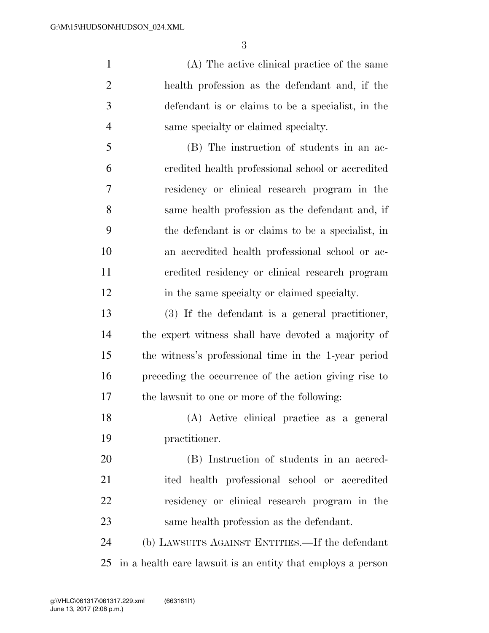(A) The active clinical practice of the same health profession as the defendant and, if the defendant is or claims to be a specialist, in the same specialty or claimed specialty.

 (B) The instruction of students in an ac- credited health professional school or accredited residency or clinical research program in the same health profession as the defendant and, if the defendant is or claims to be a specialist, in an accredited health professional school or ac- credited residency or clinical research program in the same specialty or claimed specialty.

 (3) If the defendant is a general practitioner, the expert witness shall have devoted a majority of the witness's professional time in the 1-year period preceding the occurrence of the action giving rise to the lawsuit to one or more of the following:

 (A) Active clinical practice as a general practitioner.

 (B) Instruction of students in an accred- ited health professional school or accredited residency or clinical research program in the same health profession as the defendant.

 (b) LAWSUITS AGAINST ENTITIES.—If the defendant in a health care lawsuit is an entity that employs a person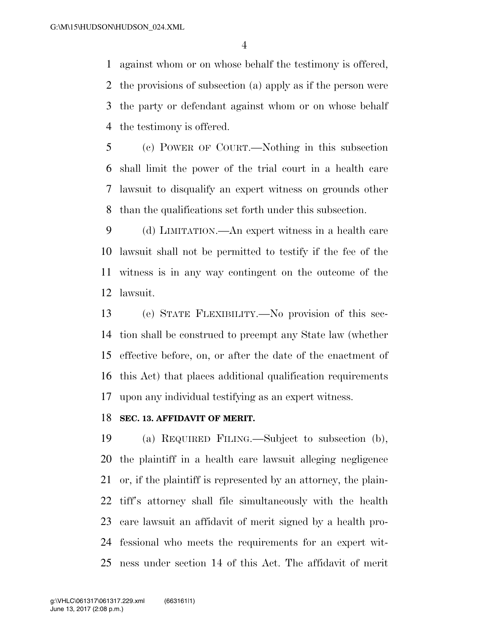against whom or on whose behalf the testimony is offered, the provisions of subsection (a) apply as if the person were the party or defendant against whom or on whose behalf the testimony is offered.

 (c) POWER OF COURT.—Nothing in this subsection shall limit the power of the trial court in a health care lawsuit to disqualify an expert witness on grounds other than the qualifications set forth under this subsection.

 (d) LIMITATION.—An expert witness in a health care lawsuit shall not be permitted to testify if the fee of the witness is in any way contingent on the outcome of the lawsuit.

 (e) STATE FLEXIBILITY.—No provision of this sec- tion shall be construed to preempt any State law (whether effective before, on, or after the date of the enactment of this Act) that places additional qualification requirements upon any individual testifying as an expert witness.

#### **SEC. 13. AFFIDAVIT OF MERIT.**

 (a) REQUIRED FILING.—Subject to subsection (b), the plaintiff in a health care lawsuit alleging negligence or, if the plaintiff is represented by an attorney, the plain- tiff's attorney shall file simultaneously with the health care lawsuit an affidavit of merit signed by a health pro- fessional who meets the requirements for an expert wit-ness under section 14 of this Act. The affidavit of merit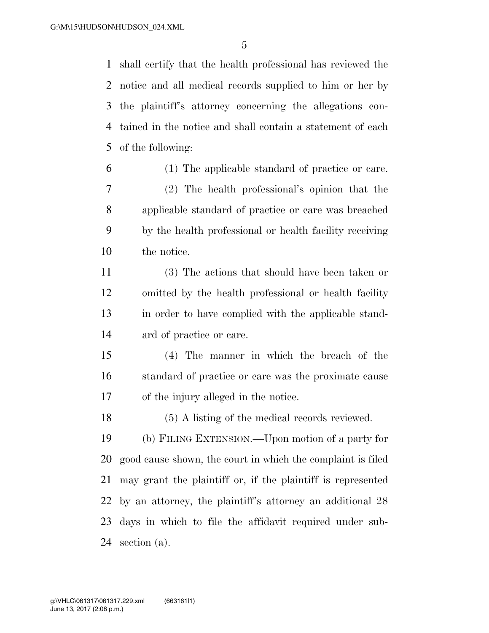shall certify that the health professional has reviewed the notice and all medical records supplied to him or her by the plaintiff's attorney concerning the allegations con- tained in the notice and shall contain a statement of each of the following:

 (1) The applicable standard of practice or care. (2) The health professional's opinion that the applicable standard of practice or care was breached by the health professional or health facility receiving the notice.

 (3) The actions that should have been taken or omitted by the health professional or health facility in order to have complied with the applicable stand-ard of practice or care.

 (4) The manner in which the breach of the standard of practice or care was the proximate cause of the injury alleged in the notice.

(5) A listing of the medical records reviewed.

 (b) FILING EXTENSION.—Upon motion of a party for good cause shown, the court in which the complaint is filed may grant the plaintiff or, if the plaintiff is represented by an attorney, the plaintiff's attorney an additional 28 days in which to file the affidavit required under sub-section (a).